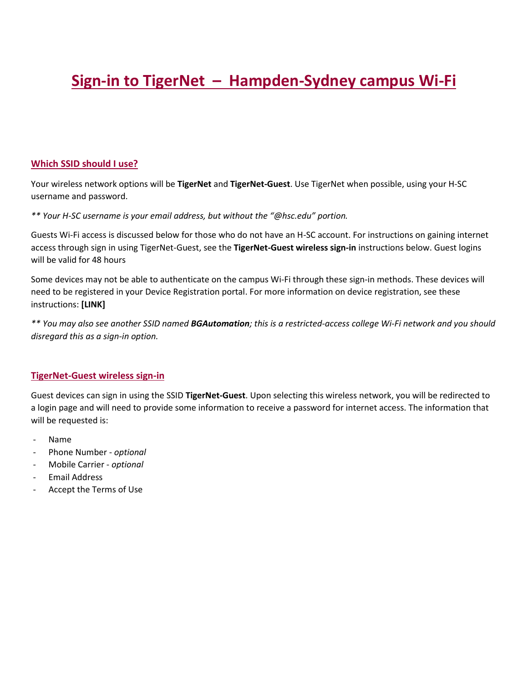## **Sign-in to TigerNet – Hampden-Sydney campus Wi-Fi**

## **Which SSID should I use?**

Your wireless network options will be **TigerNet** and **TigerNet-Guest**. Use TigerNet when possible, using your H-SC username and password.

*\*\* Your H-SC username is your email address, but without the "@hsc.edu" portion.*

Guests Wi-Fi access is discussed below for those who do not have an H-SC account. For instructions on gaining internet access through sign in using TigerNet-Guest, see the **TigerNet-Guest wireless sign-in** instructions below. Guest logins will be valid for 48 hours

Some devices may not be able to authenticate on the campus Wi-Fi through these sign-in methods. These devices will need to be registered in your Device Registration portal. For more information on device registration, see these instructions: **[LINK]**

*\*\* You may also see another SSID named BGAutomation; this is a restricted-access college Wi-Fi network and you should disregard this as a sign-in option.*

## **TigerNet-Guest wireless sign-in**

Guest devices can sign in using the SSID **TigerNet-Guest**. Upon selecting this wireless network, you will be redirected to a login page and will need to provide some information to receive a password for internet access. The information that will be requested is:

- Name
- Phone Number *optional*
- Mobile Carrier *optional*
- Email Address
- Accept the Terms of Use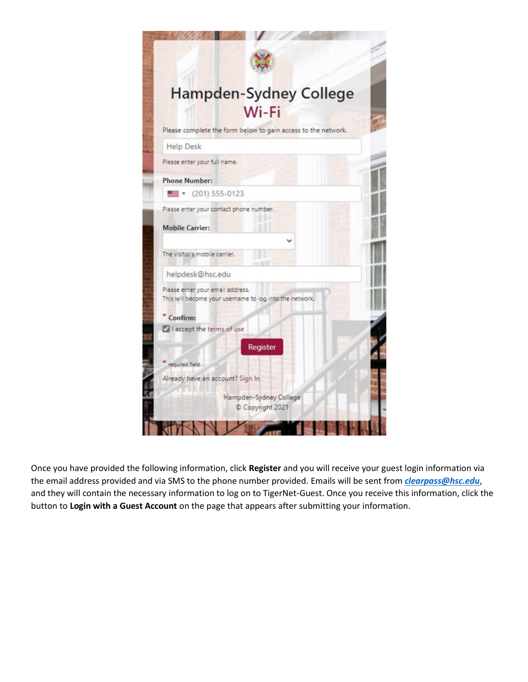|                                                               | Wi-Fi                                                  |
|---------------------------------------------------------------|--------------------------------------------------------|
| Please complete the form below to gain access to the network. |                                                        |
| Help Desk                                                     |                                                        |
| Please enter your full name.                                  |                                                        |
|                                                               |                                                        |
| <b>Phone Number:</b>                                          |                                                        |
| $\blacksquare$ (201) 555-0123                                 |                                                        |
| Please enter your contact phone number.                       |                                                        |
| <b>Mobile Carrier:</b>                                        |                                                        |
|                                                               |                                                        |
| The visitor's mobile carrier.                                 |                                                        |
| helpdesk@hsc.edu                                              |                                                        |
| Please enter your email address.                              | This will become your usemame to log into the network. |
| * Confirm:                                                    |                                                        |
| accept the terms of use                                       |                                                        |
|                                                               | Register                                               |
|                                                               |                                                        |
| required field                                                |                                                        |

Once you have provided the following information, click **Register** and you will receive your guest login information via the email address provided and via SMS to the phone number provided. Emails will be sent from *[clearpass@hsc.edu](mailto:clearpass@hsc.edu)*, and they will contain the necessary information to log on to TigerNet-Guest. Once you receive this information, click the button to **Login with a Guest Account** on the page that appears after submitting your information.